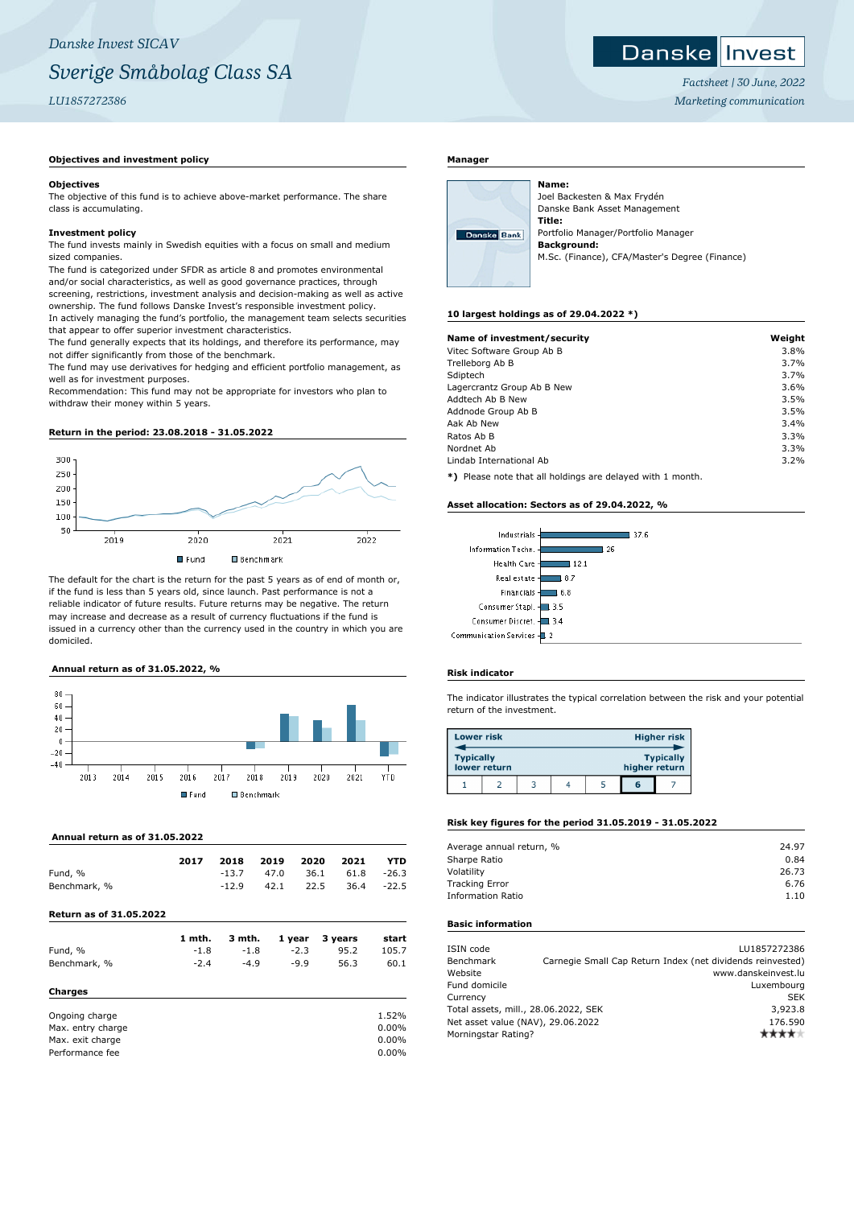# *Danske Invest SICAV Sverige Småbolag Class SA LU1857272386*

# **Objectives and investment policy**

#### **Objectives**

The objective of this fund is to achieve above-market performance. The share class is accumulating.

# **Investment policy**

The fund invests mainly in Swedish equities with a focus on small and medium sized companies.

The fund is categorized under SFDR as article 8 and promotes environmental and/or social characteristics, as well as good governance practices, through screening, restrictions, investment analysis and decision-making as well as active ownership. The fund follows Danske Invest's responsible investment policy. In actively managing the fund's portfolio, the management team selects securities that appear to offer superior investment characteristics.

The fund generally expects that its holdings, and therefore its performance, may not differ significantly from those of the benchmark.

The fund may use derivatives for hedging and efficient portfolio management, as well as for investment purposes.

Recommendation: This fund may not be appropriate for investors who plan to withdraw their money within 5 years.

# **Return in the period: 23.08.2018 - 31.05.2022**



The default for the chart is the return for the past 5 years as of end of month or, if the fund is less than 5 years old, since launch. Past performance is not a reliable indicator of future results. Future returns may be negative. The return may increase and decrease as a result of currency fluctuations if the fund is issued in a currency other than the currency used in the country in which you are domiciled.

#### **Annual return as of 31.05.2022, %**



# **Annual return as of 31.05.2022**

|              | 2017 | 2018    | 2019 2020 2021 |                 | YTD |
|--------------|------|---------|----------------|-----------------|-----|
| Fund, %      |      | $-13.7$ | 47.0           | 36.1 61.8 -26.3 |     |
| Benchmark, % |      | $-12.9$ | 42.1           | 22.5 36.4 -22.5 |     |

#### **Return as of 31.05.2022**

|                   | 1 mth. | 3 mth. | 1 year | 3 years | start |
|-------------------|--------|--------|--------|---------|-------|
| Fund, %           | $-1.8$ | $-1.8$ | $-2.3$ | 95.2    | 105.7 |
| Benchmark, %      | $-2.4$ | $-4.9$ | $-9.9$ | 56.3    | 60.1  |
| Charges           |        |        |        |         |       |
| Ongoing charge    |        |        |        |         | 1.52% |
| Max. entry charge |        |        |        |         | 0.00% |
| Max. exit charge  |        |        |        |         | 0.00% |
| Performance fee   |        |        |        |         | 0.00% |

# **Manager**



Joel Backesten & Max Frydén Danske Bank Asset Management **Title:** Portfolio Manager/Portfolio Manager **Background:** M.Sc. (Finance), CFA/Master's Degree (Finance)

#### **10 largest holdings as of 29.04.2022 \*)**

**Name:**

| Name of investment/security | Weight |
|-----------------------------|--------|
| Vitec Software Group Ab B   | 3.8%   |
| Trelleborg Ab B             | 3.7%   |
| Sdiptech                    | 3.7%   |
| Lagercrantz Group Ab B New  | 3.6%   |
| Addtech Ab B New            | 3.5%   |
| Addnode Group Ab B          | 3.5%   |
| Aak Ab New                  | 3.4%   |
| Ratos Ab B                  | 3.3%   |
| Nordnet Ab                  | 3.3%   |
| Lindab International Ab     | 3.2%   |

**\*)** Please note that all holdings are delayed with 1 month.

#### **Asset allocation: Sectors as of 29.04.2022, %**



#### **Risk indicator**

The indicator illustrates the typical correlation between the risk and your potential return of the investment.

| <b>Lower risk</b> |              |  |               | Higher risk      |
|-------------------|--------------|--|---------------|------------------|
| <b>Typically</b>  | lower return |  | higher return | <b>Typically</b> |
|                   |              |  | G             |                  |

# **Risk key figures for the period 31.05.2019 - 31.05.2022**

| Average annual return, % | 24.97 |
|--------------------------|-------|
| Sharpe Ratio             | 0.84  |
| Volatility               | 26.73 |
| <b>Tracking Error</b>    | 6.76  |
| <b>Information Ratio</b> | 1.10  |
|                          |       |

# **Basic information**

| ISIN code                            |  | LU1857272386                                               |
|--------------------------------------|--|------------------------------------------------------------|
| Benchmark                            |  | Carnegie Small Cap Return Index (net dividends reinvested) |
| Website                              |  | www.danskeinvest.lu                                        |
| Fund domicile                        |  | Luxembourg                                                 |
| Currency                             |  | <b>SEK</b>                                                 |
| Total assets, mill., 28.06.2022, SEK |  | 3,923.8                                                    |
| Net asset value (NAV), 29.06.2022    |  | 176.590                                                    |
| Morningstar Rating?                  |  |                                                            |
|                                      |  |                                                            |

*Factsheet | 30 June, 2022 Marketing communication*